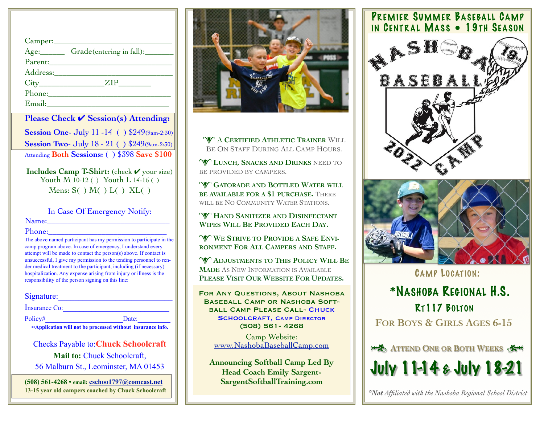| Camper: |                          |
|---------|--------------------------|
|         | Grade(entering in fall): |
|         |                          |
|         |                          |
|         | $City$ $ZIP$             |
|         | Phone: Phone             |
| Email:  |                          |

**Please Check** ✔︎ **Session(s) Attending: Session One- July 11 -14 () \$249(9am-2:30) Session Two- July 18 - 21 () \$249(9am-2:30)** Attending **Both Sessions:** ( ) \$398 **Save \$100**

**Includes Camp T-Shirt:** (check ✔︎ your size) Youth M 10-12 () Youth L 14-16 () Mens:  $S( ) M( ) L( ) XL( )$ 

In Case Of Emergency Notify:

Name:\_\_\_\_\_\_\_\_\_\_\_\_\_\_\_\_\_\_\_\_\_\_\_\_\_\_\_\_\_\_

Phone:

The above named participant has my permission to participate in the camp program above. In case of emergency, I understand every attempt will be made to contact the person(s) above. If contact is unsuccessful, I give my permission to the tending personnel to render medical treatment to the participant, including (if necessary) hospitalization. Any expense arising from injury or illness is the responsibility of the person signing on this line:

| Signature: |  |  |  |  |
|------------|--|--|--|--|
|            |  |  |  |  |

Insurance Co:

Policy# Date: ••**Application will not be processed without insurance info.**

Checks Payable to:**Chuck Schoolcraft Mail to:** Chuck Schoolcraft, 56 Malburn St., Leominster, MA 01453

**(508) 561-4268 • email: [cschoo1797@comcast.net](mailto:cschoo1797@comcast.net) 13-15 year old campers coached by Chuck Schoolcraft**



**W A CERTIFIED ATHLETIC TRAINER WILL** BE ON STAFF DURING ALL CAMP HOURS.

**W LUNCH, SNACKS AND DRINKS** NEED TO BE PROVIDED BY CAMPERS.

**W** GATORADE AND BOTTLED WATER WILL **BE AVAILABLE FOR A \$1 PURCHASE.** THERE WILL BE NO COMMUNITY WATER STATIONS.

**W** HAND SANITIZER AND DISINFECTANT **WIPES WILL BE PROVIDED EACH DAY.**

WE STRIVE TO PROVIDE A SAFE ENVI-**RONMENT FOR ALL CAMPERS AND STAFF.**

**W** ADJUSTMENTS TO THIS POLICY WILL BE **MADE** AS NEW INFORMATION IS AVAILABLE **PLEASE VISIT OUR WEBSITE FOR UPDATES.**

For Any Questions, About Nashoba Baseball Camp or Nashoba Softball Camp Please Call- Chuck SCHOOLCRAFT, CAMP DIRECTOR (508) 561- 4268

Camp Website: [www.NashobaBaseballCamp.com](http://www.NashobaBaseballCamp.com)

**Announcing Softball Camp Led By Head Coach Emily Sargent-SargentSoftballTraining.com**

## PREMIER SUMMER BASEBALL CAMP IN CENTRAL MASS . 19TH SEASON





CAMP LOCATION:

**FOR BOYS & GIRLS AGES 6-15** RT117 BOLTON \*NASHOBA REGIONAL H.S.

**ATTEND ONE OR BOTH WEEKS** July 11-14 & July 18-21

*\*Not Affiliated with the Nashoba Regional School District*